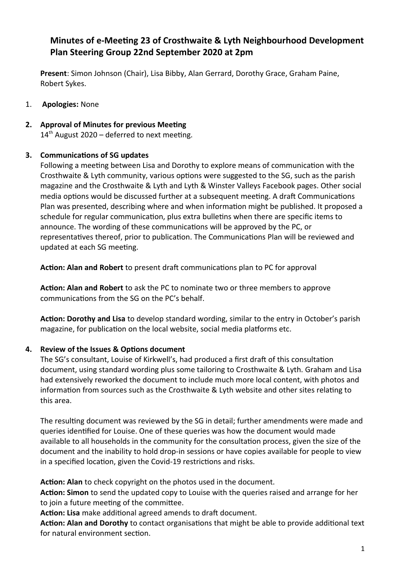## **Minutes of e-Meeting 23 of Crosthwaite & Lyth Neighbourhood Development Plan Steering Group 22nd September 2020 at 2pm**

**Present**: Simon Johnson (Chair), Lisa Bibby, Alan Gerrard, Dorothy Grace, Graham Paine, Robert Sykes.

- 1. **Apologies:** None
- **2. Approval of Minutes for previous Meeting**

 $14<sup>th</sup>$  August 2020 – deferred to next meeting.

## **3. Communications of SG updates**

Following a meeting between Lisa and Dorothy to explore means of communication with the Crosthwaite & Lyth community, various options were suggested to the SG, such as the parish magazine and the Crosthwaite & Lyth and Lyth & Winster Valleys Facebook pages. Other social media options would be discussed further at a subsequent meeting. A draft Communications Plan was presented, describing where and when information might be published. It proposed a schedule for regular communication, plus extra bulletins when there are specific items to announce. The wording of these communications will be approved by the PC, or representatives thereof, prior to publication. The Communications Plan will be reviewed and updated at each SG meeting.

**Action: Alan and Robert** to present draft communications plan to PC for approval

**Action: Alan and Robert** to ask the PC to nominate two or three members to approve communications from the SG on the PC's behalf.

**Action: Dorothy and Lisa** to develop standard wording, similar to the entry in October's parish magazine, for publication on the local website, social media platforms etc.

## **4. Review of the Issues & Options document**

The SG's consultant, Louise of Kirkwell's, had produced a first draft of this consultation document, using standard wording plus some tailoring to Crosthwaite & Lyth. Graham and Lisa had extensively reworked the document to include much more local content, with photos and information from sources such as the Crosthwaite & Lyth website and other sites relating to this area.

The resulting document was reviewed by the SG in detail; further amendments were made and queries identified for Louise. One of these queries was how the document would made available to all households in the community for the consultation process, given the size of the document and the inability to hold drop-in sessions or have copies available for people to view in a specified location, given the Covid-19 restrictions and risks.

**Action: Alan** to check copyright on the photos used in the document.

**Action: Simon** to send the updated copy to Louise with the queries raised and arrange for her to join a future meeting of the committee.

**Action: Lisa** make additional agreed amends to draft document.

**Action: Alan and Dorothy** to contact organisations that might be able to provide additional text for natural environment section.